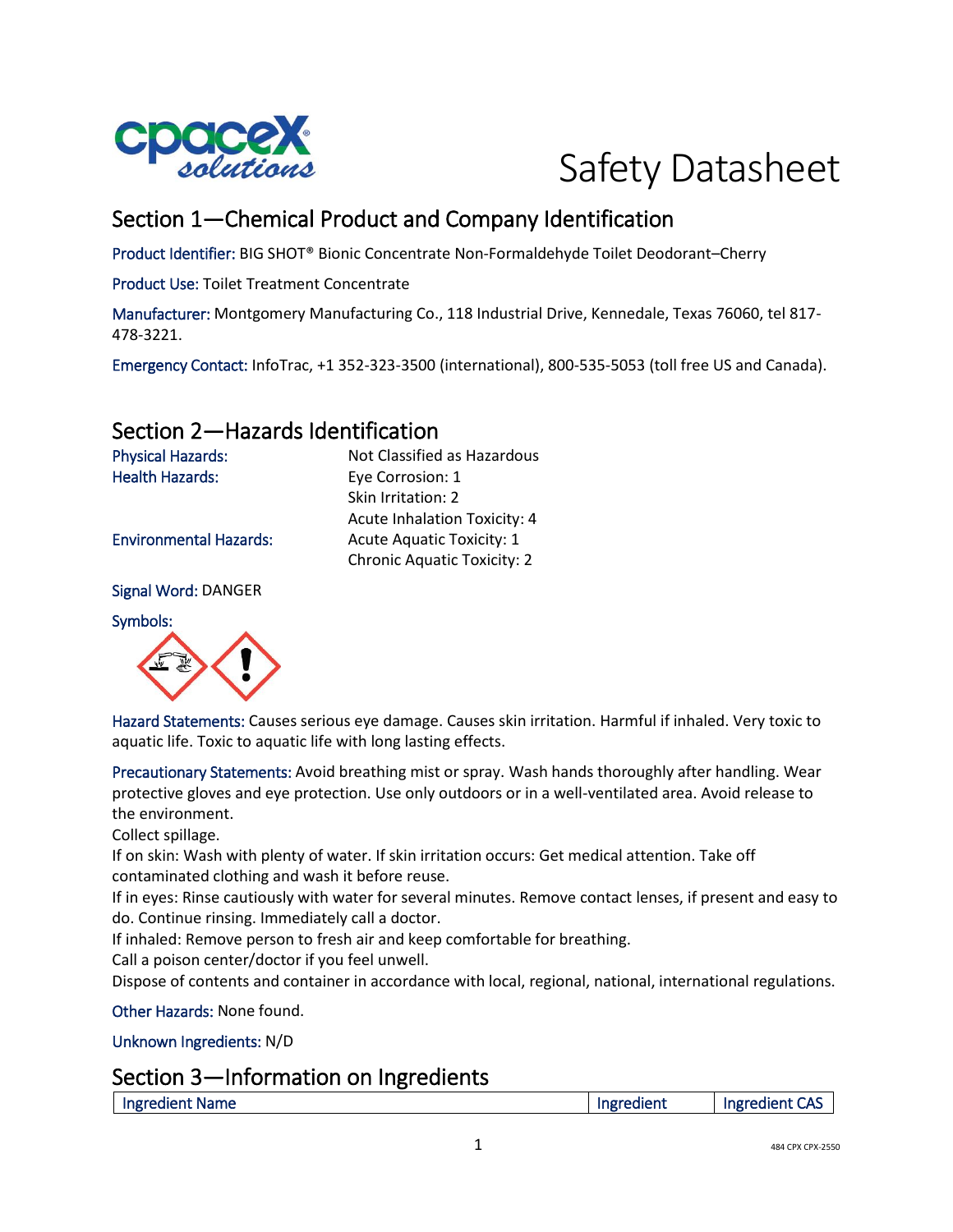

# Safety Datasheet

# Section 1—Chemical Product and Company Identification

Skin Irritation: 2

Acute Inhalation Toxicity: 4

Chronic Aquatic Toxicity: 2

Product Identifier: BIG SHOT® Bionic Concentrate Non-Formaldehyde Toilet Deodorant–Cherry

Product Use: Toilet Treatment Concentrate

Manufacturer: Montgomery Manufacturing Co., 118 Industrial Drive, Kennedale, Texas 76060, tel 817- 478-3221.

Emergency Contact: InfoTrac, +1 352-323-3500 (international), 800-535-5053 (toll free US and Canada).

## Section 2—Hazards Identification

Physical Hazards: Not Classified as Hazardous Health Hazards: Eye Corrosion: 1

Environmental Hazards: Acute Aquatic Toxicity: 1

Signal Word: DANGER

Symbols:



Hazard Statements: Causes serious eye damage. Causes skin irritation. Harmful if inhaled. Very toxic to aquatic life. Toxic to aquatic life with long lasting effects.

Precautionary Statements: Avoid breathing mist or spray. Wash hands thoroughly after handling. Wear protective gloves and eye protection. Use only outdoors or in a well-ventilated area. Avoid release to the environment.

Collect spillage.

If on skin: Wash with plenty of water. If skin irritation occurs: Get medical attention. Take off contaminated clothing and wash it before reuse.

If in eyes: Rinse cautiously with water for several minutes. Remove contact lenses, if present and easy to do. Continue rinsing. Immediately call a doctor.

If inhaled: Remove person to fresh air and keep comfortable for breathing.

Call a poison center/doctor if you feel unwell.

Dispose of contents and container in accordance with local, regional, national, international regulations.

Other Hazards: None found.

Unknown Ingredients: N/D

#### Section 3—Information on Ingredients

| Ingredient Name | Ingredient | Ingredient<br>CAS |
|-----------------|------------|-------------------|
|                 |            |                   |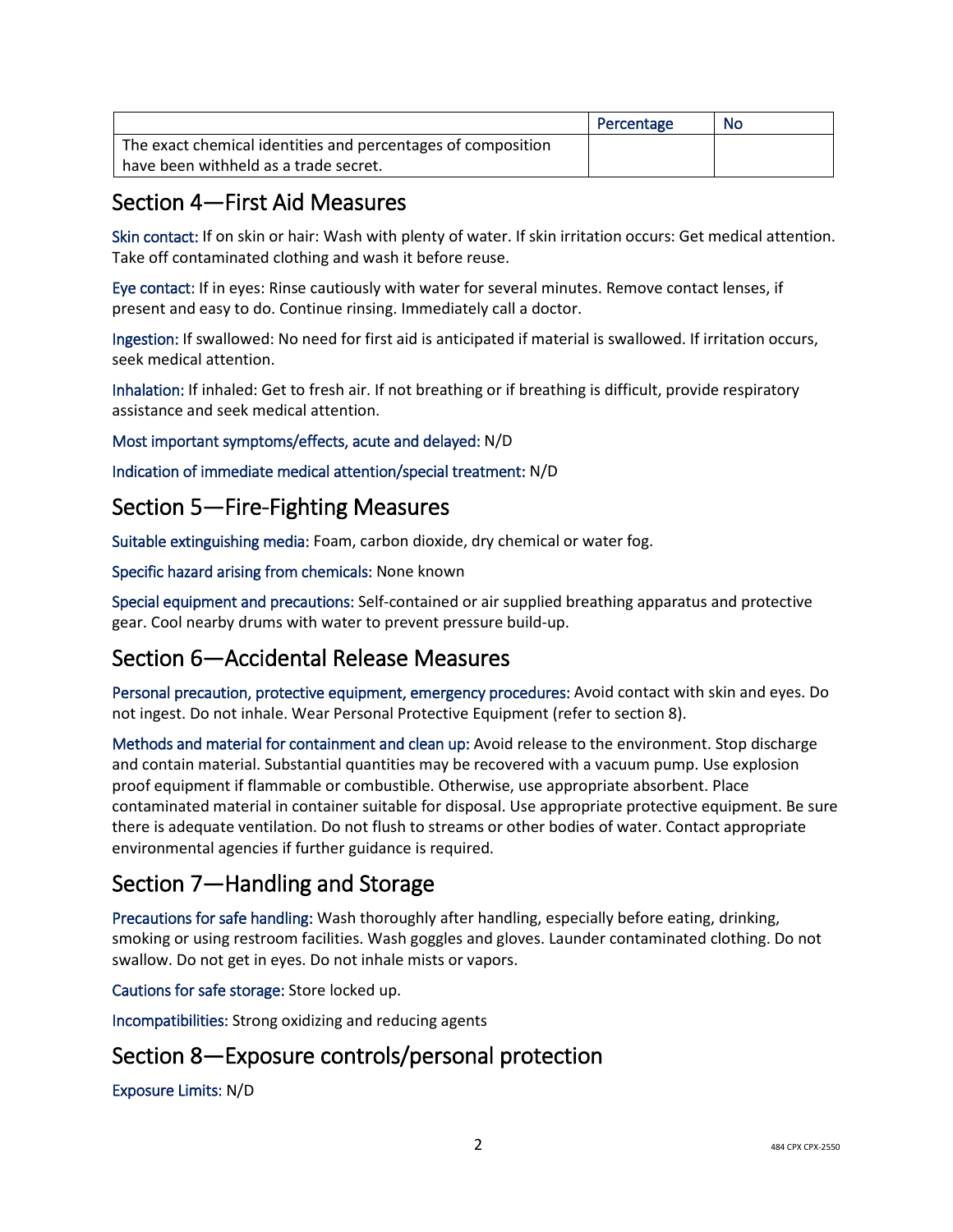|                                                              | Percentage | No |
|--------------------------------------------------------------|------------|----|
| The exact chemical identities and percentages of composition |            |    |
| have been withheld as a trade secret.                        |            |    |

## Section 4—First Aid Measures

Skin contact: If on skin or hair: Wash with plenty of water. If skin irritation occurs: Get medical attention. Take off contaminated clothing and wash it before reuse.

Eye contact: If in eyes: Rinse cautiously with water for several minutes. Remove contact lenses, if present and easy to do. Continue rinsing. Immediately call a doctor.

Ingestion: If swallowed: No need for first aid is anticipated if material is swallowed. If irritation occurs, seek medical attention.

Inhalation: If inhaled: Get to fresh air. If not breathing or if breathing is difficult, provide respiratory assistance and seek medical attention.

Most important symptoms/effects, acute and delayed: N/D

Indication of immediate medical attention/special treatment: N/D

## Section 5—Fire-Fighting Measures

Suitable extinguishing media: Foam, carbon dioxide, dry chemical or water fog.

Specific hazard arising from chemicals: None known

Special equipment and precautions: Self-contained or air supplied breathing apparatus and protective gear. Cool nearby drums with water to prevent pressure build-up.

# Section 6—Accidental Release Measures

Personal precaution, protective equipment, emergency procedures: Avoid contact with skin and eyes. Do not ingest. Do not inhale. Wear Personal Protective Equipment (refer to section 8).

Methods and material for containment and clean up: Avoid release to the environment. Stop discharge and contain material. Substantial quantities may be recovered with a vacuum pump. Use explosion proof equipment if flammable or combustible. Otherwise, use appropriate absorbent. Place contaminated material in container suitable for disposal. Use appropriate protective equipment. Be sure there is adequate ventilation. Do not flush to streams or other bodies of water. Contact appropriate environmental agencies if further guidance is required.

# Section 7—Handling and Storage

Precautions for safe handling: Wash thoroughly after handling, especially before eating, drinking, smoking or using restroom facilities. Wash goggles and gloves. Launder contaminated clothing. Do not swallow. Do not get in eyes. Do not inhale mists or vapors.

Cautions for safe storage: Store locked up.

Incompatibilities: Strong oxidizing and reducing agents

# Section 8—Exposure controls/personal protection

Exposure Limits: N/D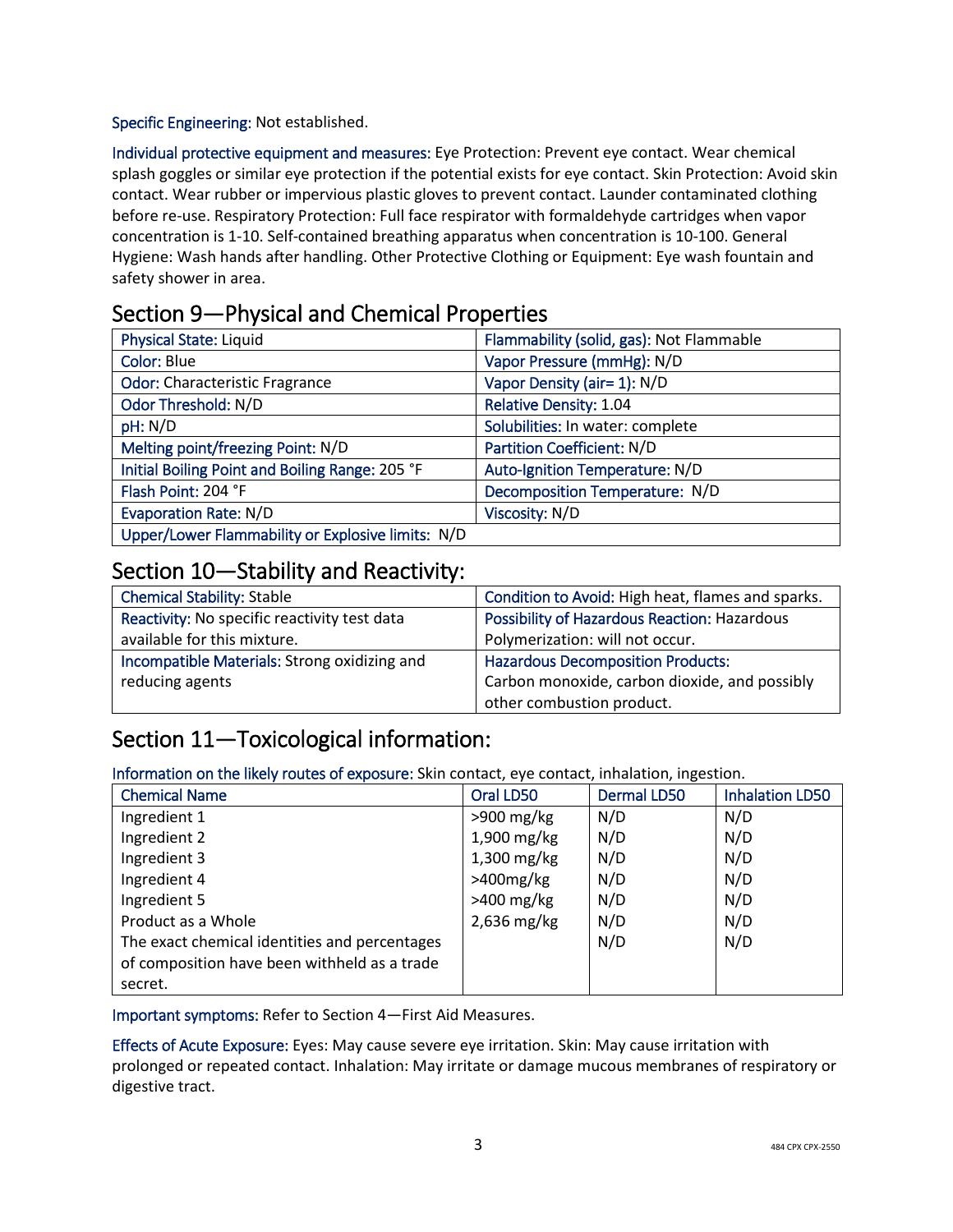Specific Engineering: Not established.

Individual protective equipment and measures: Eye Protection: Prevent eye contact. Wear chemical splash goggles or similar eye protection if the potential exists for eye contact. Skin Protection: Avoid skin contact. Wear rubber or impervious plastic gloves to prevent contact. Launder contaminated clothing before re-use. Respiratory Protection: Full face respirator with formaldehyde cartridges when vapor concentration is 1-10. Self-contained breathing apparatus when concentration is 10-100. General Hygiene: Wash hands after handling. Other Protective Clothing or Equipment: Eye wash fountain and safety shower in area.

## Section 9—Physical and Chemical Properties

| <b>Physical State: Liquid</b>                     | Flammability (solid, gas): Not Flammable |
|---------------------------------------------------|------------------------------------------|
| <b>Color: Blue</b>                                | Vapor Pressure (mmHg): N/D               |
| <b>Odor: Characteristic Fragrance</b>             | Vapor Density (air= 1): N/D              |
| Odor Threshold: N/D                               | <b>Relative Density: 1.04</b>            |
| pH: N/D                                           | Solubilities: In water: complete         |
| Melting point/freezing Point: N/D                 | <b>Partition Coefficient: N/D</b>        |
| Initial Boiling Point and Boiling Range: 205 °F   | Auto-Ignition Temperature: N/D           |
| Flash Point: 204 °F                               | Decomposition Temperature: N/D           |
| <b>Evaporation Rate: N/D</b>                      | Viscosity: N/D                           |
| Upper/Lower Flammability or Explosive limits: N/D |                                          |

## Section 10—Stability and Reactivity:

| <b>Chemical Stability: Stable</b>            | Condition to Avoid: High heat, flames and sparks. |
|----------------------------------------------|---------------------------------------------------|
| Reactivity: No specific reactivity test data | Possibility of Hazardous Reaction: Hazardous      |
| available for this mixture.                  | Polymerization: will not occur.                   |
| Incompatible Materials: Strong oxidizing and | <b>Hazardous Decomposition Products:</b>          |
| reducing agents                              | Carbon monoxide, carbon dioxide, and possibly     |
|                                              | other combustion product.                         |

# Section 11—Toxicological information:

Information on the likely routes of exposure: Skin contact, eye contact, inhalation, ingestion.

| <b>Chemical Name</b>                          | Oral LD50     | <b>Dermal LD50</b> | <b>Inhalation LD50</b> |
|-----------------------------------------------|---------------|--------------------|------------------------|
| Ingredient 1                                  | $>900$ mg/kg  | N/D                | N/D                    |
| Ingredient 2                                  | 1,900 mg/kg   | N/D                | N/D                    |
| Ingredient 3                                  | $1,300$ mg/kg | N/D                | N/D                    |
| Ingredient 4                                  | $>400$ mg/kg  | N/D                | N/D                    |
| Ingredient 5                                  | $>400$ mg/kg  | N/D                | N/D                    |
| Product as a Whole                            | 2,636 mg/kg   | N/D                | N/D                    |
| The exact chemical identities and percentages |               | N/D                | N/D                    |
| of composition have been withheld as a trade  |               |                    |                        |
| secret.                                       |               |                    |                        |

Important symptoms: Refer to Section 4—First Aid Measures.

Effects of Acute Exposure: Eyes: May cause severe eye irritation. Skin: May cause irritation with prolonged or repeated contact. Inhalation: May irritate or damage mucous membranes of respiratory or digestive tract.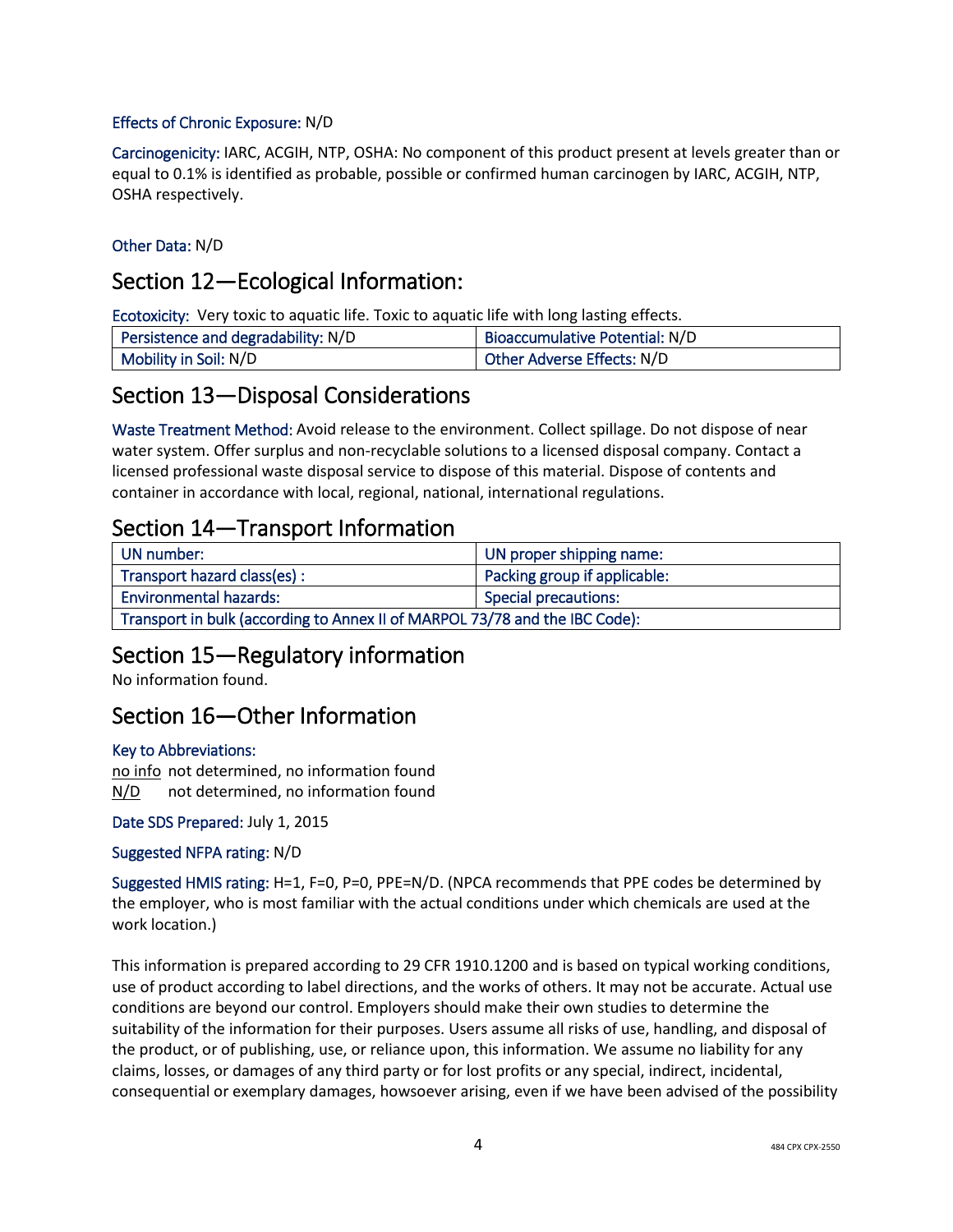#### Effects of Chronic Exposure: N/D

Carcinogenicity: IARC, ACGIH, NTP, OSHA: No component of this product present at levels greater than or equal to 0.1% is identified as probable, possible or confirmed human carcinogen by IARC, ACGIH, NTP, OSHA respectively.

#### Other Data: N/D

#### Section 12—Ecological Information:

Ecotoxicity: Very toxic to aquatic life. Toxic to aquatic life with long lasting effects.

| Persistence and degradability: N/D | Bioaccumulative Potential: N/D |
|------------------------------------|--------------------------------|
| Mobility in Soil: N/D              | Other Adverse Effects: N/D     |

## Section 13—Disposal Considerations

Waste Treatment Method: Avoid release to the environment. Collect spillage. Do not dispose of near water system. Offer surplus and non-recyclable solutions to a licensed disposal company. Contact a licensed professional waste disposal service to dispose of this material. Dispose of contents and container in accordance with local, regional, national, international regulations.

## Section 14—Transport Information

| UN number:                                                                  | UN proper shipping name:     |
|-----------------------------------------------------------------------------|------------------------------|
| Transport hazard class(es):                                                 | Packing group if applicable: |
| <b>Environmental hazards:</b>                                               | <b>Special precautions:</b>  |
| Transport in bulk (according to Annex II of MARPOL 73/78 and the IBC Code): |                              |

#### Section 15—Regulatory information

No information found.

#### Section 16—Other Information

#### Key to Abbreviations:

no info not determined, no information found N/D not determined, no information found

Date SDS Prepared: July 1, 2015

Suggested NFPA rating: N/D

Suggested HMIS rating: H=1, F=0, P=0, PPE=N/D. (NPCA recommends that PPE codes be determined by the employer, who is most familiar with the actual conditions under which chemicals are used at the work location.)

This information is prepared according to 29 CFR 1910.1200 and is based on typical working conditions, use of product according to label directions, and the works of others. It may not be accurate. Actual use conditions are beyond our control. Employers should make their own studies to determine the suitability of the information for their purposes. Users assume all risks of use, handling, and disposal of the product, or of publishing, use, or reliance upon, this information. We assume no liability for any claims, losses, or damages of any third party or for lost profits or any special, indirect, incidental, consequential or exemplary damages, howsoever arising, even if we have been advised of the possibility